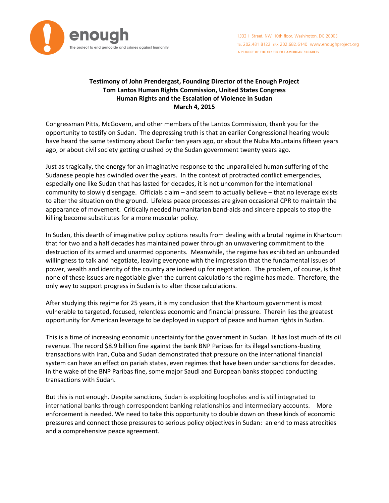

# **Testimony of John Prendergast, Founding Director of the Enough Project Tom Lantos Human Rights Commission, United States Congress Human Rights and the Escalation of Violence in Sudan March 4, 2015**

Congressman Pitts, McGovern, and other members of the Lantos Commission, thank you for the opportunity to testify on Sudan. The depressing truth is that an earlier Congressional hearing would have heard the same testimony about Darfur ten years ago, or about the Nuba Mountains fifteen years ago, or about civil society getting crushed by the Sudan government twenty years ago.

Just as tragically, the energy for an imaginative response to the unparalleled human suffering of the Sudanese people has dwindled over the years. In the context of protracted conflict emergencies, especially one like Sudan that has lasted for decades, it is not uncommon for the international community to slowly disengage. Officials claim – and seem to actually believe – that no leverage exists to alter the situation on the ground. Lifeless peace processes are given occasional CPR to maintain the appearance of movement. Critically needed humanitarian band-aids and sincere appeals to stop the killing become substitutes for a more muscular policy.

In Sudan, this dearth of imaginative policy options results from dealing with a brutal regime in Khartoum that for two and a half decades has maintained power through an unwavering commitment to the destruction of its armed and unarmed opponents. Meanwhile, the regime has exhibited an unbounded willingness to talk and negotiate, leaving everyone with the impression that the fundamental issues of power, wealth and identity of the country are indeed up for negotiation. The problem, of course, is that none of these issues are negotiable given the current calculations the regime has made. Therefore, the only way to support progress in Sudan is to alter those calculations.

After studying this regime for 25 years, it is my conclusion that the Khartoum government is most vulnerable to targeted, focused, relentless economic and financial pressure. Therein lies the greatest opportunity for American leverage to be deployed in support of peace and human rights in Sudan.

This is a time of increasing economic uncertainty for the government in Sudan. It has lost much of its oil revenue. The record \$8.9 billion fine against the bank BNP Paribas for its illegal sanctions-busting transactions with Iran, Cuba and Sudan demonstrated that pressure on the international financial system can have an effect on pariah states, even regimes that have been under sanctions for decades. In the wake of the BNP Paribas fine, some major Saudi and European banks stopped conducting transactions with Sudan.

But this is not enough. Despite sanctions, Sudan is exploiting loopholes and is still integrated to international banks through correspondent banking relationships and intermediary accounts. More enforcement is needed. We need to take this opportunity to double down on these kinds of economic pressures and connect those pressures to serious policy objectives in Sudan: an end to mass atrocities and a comprehensive peace agreement.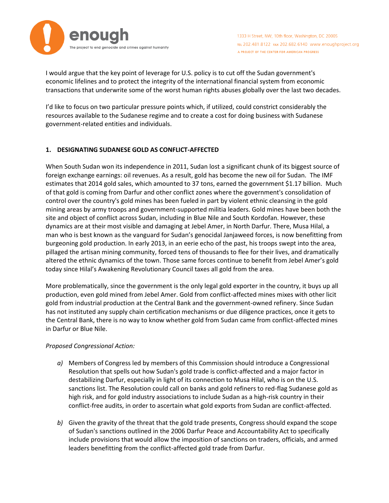

1333 H Street, NW, 10th floor, Washington, DC 20005 TEL 202.481.8122 FAX 202.682.6140 www.enoughproject.org A PROJECT OF THE CENTER FOR AMERICAN PROGRESS

I would argue that the key point of leverage for U.S. policy is to cut off the Sudan government's economic lifelines and to protect the integrity of the international financial system from economic transactions that underwrite some of the worst human rights abuses globally over the last two decades.

I'd like to focus on two particular pressure points which, if utilized, could constrict considerably the resources available to the Sudanese regime and to create a cost for doing business with Sudanese government-related entities and individuals.

## **1. DESIGNATING SUDANESE GOLD AS CONFLICT-AFFECTED**

When South Sudan won its independence in 2011, Sudan lost a significant chunk of its biggest source of foreign exchange earnings: oil revenues. As a result, gold has become the new oil for Sudan. The IMF estimates that 2014 gold sales, which amounted to 37 tons, earned the government \$1.17 billion. Much of that gold is coming from Darfur and other conflict zones where the government's consolidation of control over the country's gold mines has been fueled in part by violent ethnic cleansing in the gold mining areas by army troops and government-supported militia leaders. Gold mines have been both the site and object of conflict across Sudan, including in Blue Nile and South Kordofan. However, these dynamics are at their most visible and damaging at Jebel Amer, in North Darfur. There, Musa Hilal, a man who is best known as the vanguard for Sudan's genocidal Janjaweed forces, is now benefitting from burgeoning gold production. In early 2013, in an eerie echo of the past, his troops swept into the area, pillaged the artisan mining community, forced tens of thousands to flee for their lives, and dramatically altered the ethnic dynamics of the town. Those same forces continue to benefit from Jebel Amer's gold today since Hilal's Awakening Revolutionary Council taxes all gold from the area.

More problematically, since the government is the only legal gold exporter in the country, it buys up all production, even gold mined from Jebel Amer. Gold from conflict-affected mines mixes with other licit gold from industrial production at the Central Bank and the government-owned refinery. Since Sudan has not instituted any supply chain certification mechanisms or due diligence practices, once it gets to the Central Bank, there is no way to know whether gold from Sudan came from conflict-affected mines in Darfur or Blue Nile.

#### *Proposed Congressional Action:*

- *a)* Members of Congress led by members of this Commission should introduce a Congressional Resolution that spells out how Sudan's gold trade is conflict-affected and a major factor in destabilizing Darfur, especially in light of its connection to Musa Hilal, who is on the U.S. sanctions list. The Resolution could call on banks and gold refiners to red-flag Sudanese gold as high risk, and for gold industry associations to include Sudan as a high-risk country in their conflict-free audits, in order to ascertain what gold exports from Sudan are conflict-affected.
- *b)* Given the gravity of the threat that the gold trade presents, Congress should expand the scope of Sudan's sanctions outlined in the 2006 Darfur Peace and Accountability Act to specifically include provisions that would allow the imposition of sanctions on traders, officials, and armed leaders benefitting from the conflict-affected gold trade from Darfur.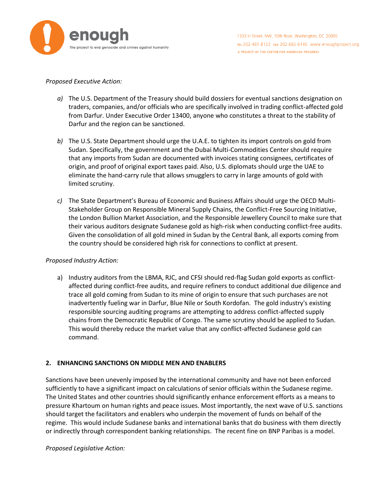

#### *Proposed Executive Action:*

- *a)* The U.S. Department of the Treasury should build dossiers for eventual sanctions designation on traders, companies, and/or officials who are specifically involved in trading conflict-affected gold from Darfur. Under Executive Order 13400, anyone who constitutes a threat to the stability of Darfur and the region can be sanctioned.
- *b)* The U.S. State Department should urge the U.A.E. to tighten its import controls on gold from Sudan. Specifically, the government and the Dubai Multi-Commodities Center should require that any imports from Sudan are documented with invoices stating consignees, certificates of origin, and proof of original export taxes paid. Also, U.S. diplomats should urge the UAE to eliminate the hand-carry rule that allows smugglers to carry in large amounts of gold with limited scrutiny.
- *c)* The State Department's Bureau of Economic and Business Affairs should urge the OECD Multi-Stakeholder Group on Responsible Mineral Supply Chains, the Conflict-Free Sourcing Initiative, the London Bullion Market Association, and the Responsible Jewellery Council to make sure that their various auditors designate Sudanese gold as high-risk when conducting conflict-free audits. Given the consolidation of all gold mined in Sudan by the Central Bank, all exports coming from the country should be considered high risk for connections to conflict at present.

## *Proposed Industry Action:*

a) Industry auditors from the LBMA, RJC, and CFSI should red-flag Sudan gold exports as conflictaffected during conflict-free audits, and require refiners to conduct additional due diligence and trace all gold coming from Sudan to its mine of origin to ensure that such purchases are not inadvertently fueling war in Darfur, Blue Nile or South Kordofan. The gold industry's existing responsible sourcing auditing programs are attempting to address conflict-affected supply chains from the Democratic Republic of Congo. The same scrutiny should be applied to Sudan. This would thereby reduce the market value that any conflict-affected Sudanese gold can command.

## **2. ENHANCING SANCTIONS ON MIDDLE MEN AND ENABLERS**

Sanctions have been unevenly imposed by the international community and have not been enforced sufficiently to have a significant impact on calculations of senior officials within the Sudanese regime. The United States and other countries should significantly enhance enforcement efforts as a means to pressure Khartoum on human rights and peace issues. Most importantly, the next wave of U.S. sanctions should target the facilitators and enablers who underpin the movement of funds on behalf of the regime. This would include Sudanese banks and international banks that do business with them directly or indirectly through correspondent banking relationships. The recent fine on BNP Paribas is a model.

## *Proposed Legislative Action:*